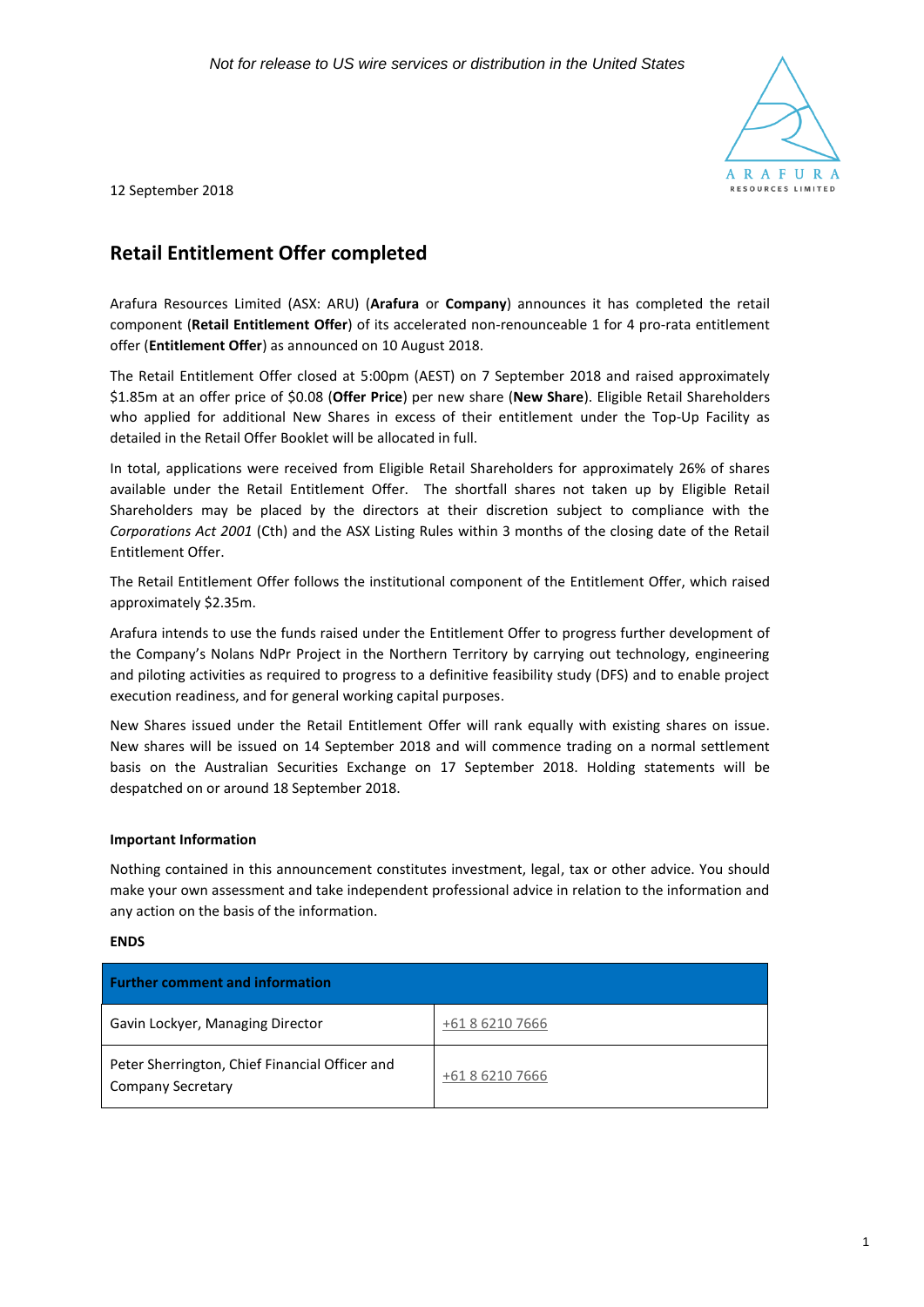

12 September 2018

# **Retail Entitlement Offer completed**

Arafura Resources Limited (ASX: ARU) (**Arafura** or **Company**) announces it has completed the retail component (**Retail Entitlement Offer**) of its accelerated non-renounceable 1 for 4 pro-rata entitlement offer (**Entitlement Offer**) as announced on 10 August 2018.

The Retail Entitlement Offer closed at 5:00pm (AEST) on 7 September 2018 and raised approximately \$1.85m at an offer price of \$0.08 (**Offer Price**) per new share (**New Share**). Eligible Retail Shareholders who applied for additional New Shares in excess of their entitlement under the Top-Up Facility as detailed in the Retail Offer Booklet will be allocated in full.

In total, applications were received from Eligible Retail Shareholders for approximately 26% of shares available under the Retail Entitlement Offer. The shortfall shares not taken up by Eligible Retail Shareholders may be placed by the directors at their discretion subject to compliance with the *Corporations Act 2001* (Cth) and the ASX Listing Rules within 3 months of the closing date of the Retail Entitlement Offer.

The Retail Entitlement Offer follows the institutional component of the Entitlement Offer, which raised approximately \$2.35m.

Arafura intends to use the funds raised under the Entitlement Offer to progress further development of the Company's Nolans NdPr Project in the Northern Territory by carrying out technology, engineering and piloting activities as required to progress to a definitive feasibility study (DFS) and to enable project execution readiness, and for general working capital purposes.

New Shares issued under the Retail Entitlement Offer will rank equally with existing shares on issue. New shares will be issued on 14 September 2018 and will commence trading on a normal settlement basis on the Australian Securities Exchange on 17 September 2018. Holding statements will be despatched on or around 18 September 2018.

# **Important Information**

Nothing contained in this announcement constitutes investment, legal, tax or other advice. You should make your own assessment and take independent professional advice in relation to the information and any action on the basis of the information.

## **ENDS**

| <b>Further comment and information</b>                                     |                 |
|----------------------------------------------------------------------------|-----------------|
| Gavin Lockyer, Managing Director                                           | +61 8 6210 7666 |
| Peter Sherrington, Chief Financial Officer and<br><b>Company Secretary</b> | +61 8 6210 7666 |